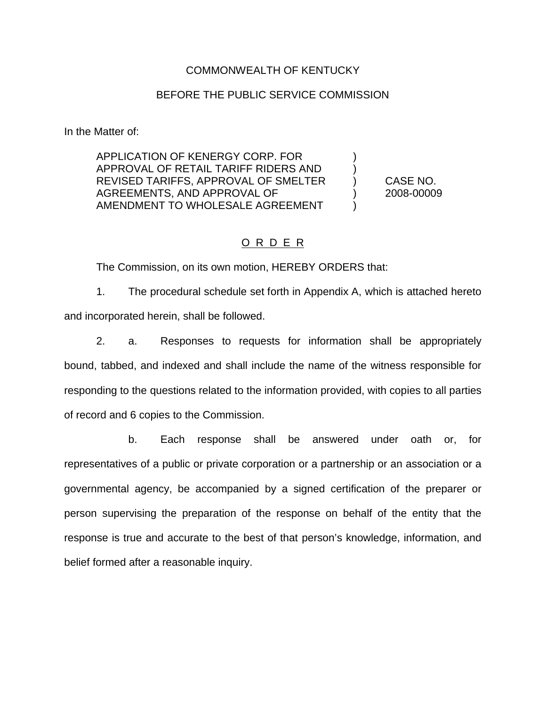#### COMMONWEALTH OF KENTUCKY

#### BEFORE THE PUBLIC SERVICE COMMISSION

In the Matter of:

APPLICATION OF KENERGY CORP. FOR ) APPROVAL OF RETAIL TARIFF RIDERS AND ) REVISED TARIFFS, APPROVAL OF SMELTER ) CASE NO. AGREEMENTS, AND APPROVAL OF (2008-00009) AMENDMENT TO WHOLESALE AGREEMENT )

### O R D E R

The Commission, on its own motion, HEREBY ORDERS that:

1. The procedural schedule set forth in Appendix A, which is attached hereto and incorporated herein, shall be followed.

2. a. Responses to requests for information shall be appropriately bound, tabbed, and indexed and shall include the name of the witness responsible for responding to the questions related to the information provided, with copies to all parties of record and 6 copies to the Commission.

b. Each response shall be answered under oath or, for representatives of a public or private corporation or a partnership or an association or a governmental agency, be accompanied by a signed certification of the preparer or person supervising the preparation of the response on behalf of the entity that the response is true and accurate to the best of that person's knowledge, information, and belief formed after a reasonable inquiry.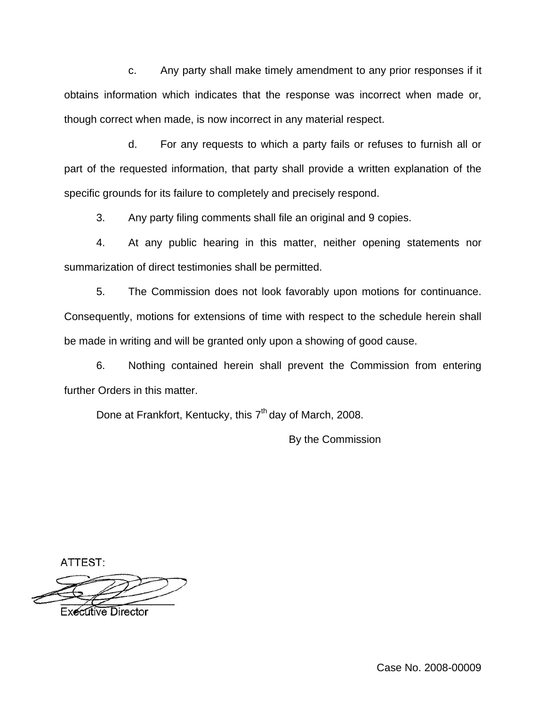c. Any party shall make timely amendment to any prior responses if it obtains information which indicates that the response was incorrect when made or, though correct when made, is now incorrect in any material respect.

d. For any requests to which a party fails or refuses to furnish all or part of the requested information, that party shall provide a written explanation of the specific grounds for its failure to completely and precisely respond.

3. Any party filing comments shall file an original and 9 copies.

4. At any public hearing in this matter, neither opening statements nor summarization of direct testimonies shall be permitted.

5. The Commission does not look favorably upon motions for continuance. Consequently, motions for extensions of time with respect to the schedule herein shall be made in writing and will be granted only upon a showing of good cause.

6. Nothing contained herein shall prevent the Commission from entering further Orders in this matter.

Done at Frankfort, Kentucky, this  $7<sup>th</sup>$  day of March, 2008.

By the Commission

ATTEST:

**Executive Director**